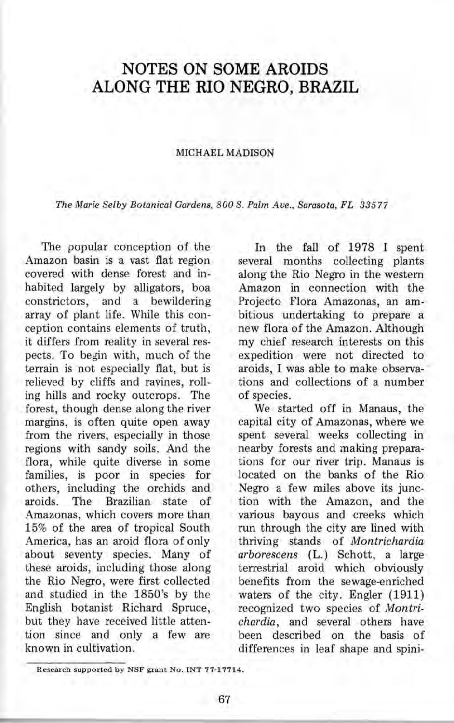## **NOTES ON SOME AROIDS ALONG THE RIO NEGRO, BRAZIL**

## MICHAEL MADISON

*The Marie Selby Botanical Gardens, 800 S. Palm Ave., Sarasota, FL 33577* 

The popular conception of the Amazon basin is a vast flat region covered with dense forest and inhabited largely by alligators, boa constrictors, and a bewildering array of plant life. While this conception contains elements of truth, it differs from reality in several respects. To begin with, much of the terrain is not especially flat, but is relieved by cliffs and ravines, rolling hills and rocky outcrops. The forest, though dense along the river margins, is often quite open away from the rivers, especially in those regions with sandy soils. And the flora, while quite diverse in some families, is poor in species for others, including the orchids and aroids. The Brazilian state of Amazonas, which covers more than 15% of the area of tropical South America, has an aroid flora of only about seventy species. Many of these aroids, including those along the Rio Negro, were first collected and studied in the 1850 's by the English botanist Richard Spruce, but they have received little attention since and only a few are known in cultivation.

In the fall of 1978 I spent several months collecting plants along the Rio Negro in the western Amazon in connection with the Projecto Flora Amazonas, an ambitious undertaking to prepare a new flora of the Amazon. Although my chief research interests on this expedition were not directed to aroids, I was able to make observations and collections of a number of species.

We started off in Manaus, the capital city of Amazonas, where we spent several weeks collecting in nearby forests and making preparations for our river trip. Manaus is located on the banks of the Rio Negro a few miles above its junction with the Amazon, and the various bayous and creeks which run through the city are lined with thriving stands of *Montrichardia arborescens* (L.) Schott, a large terrestrial aroid which obviously benefits from the sewage-enriched waters of the city. Engler (1911) recognized two species of *Montrichardia,* and several others have been described on the basis of differences in leaf shape and spini-

Research supported by NSF grant No. INT 77-17714.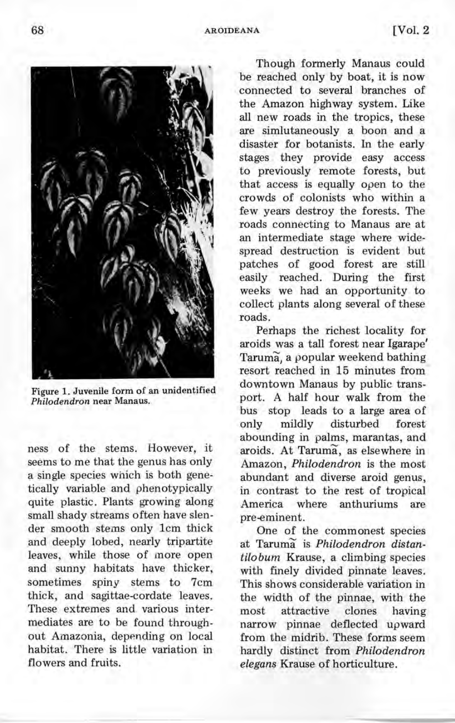

Figure 1. Juvenile form of an unidentified Philodendron near Manaus.

ness of the stems. However, it seems to me that the genus has only a single species which is both genetically variable and phenotypically quite plastic. Plants growing along small shady streams often have slender smooth stems only 1cm thick and deeply lobed, nearly tripartite leaves, while those of more open and sunny habitats have thicker, sometimes spiny stems to 7cm thick, and sagittae-cordate leaves. These extremes and various intermediates are to be found throughout Amazonia, depending on local habitat. There is little variation in flowers and fruits.

Though formerly Manaus could be reached only by boat, it is now connected to several branches of the Amazon highway system. Like all new roads in the tropics, these are simlutaneously a boon and a disaster for botanists. In the early stages they provide easy access to previously remote forests, but that access is equally open to the crowds of colonists who within a few years destroy the forests. The roads connecting to Manaus are at an intermediate stage where widespread destruction is evident but patches of good forest are still easily reached. During the first weeks we had an opportunity to collect plants along several of these roads.

Perhaps the richest locality for aroids was a tall forest near Igarape' Taruma, a popular weekend bathing resort reached in 15 minutes from downtown Manaus by public transport. A half hour walk from the bus stop leads to a large area of only mildly disturbed forest abounding in palms, marantas, and aroids. At Taruma, as elsewhere in Amazon, *Philodendron* is the most abundant and diverse aroid genus, in contrast to the rest of tropical America where anthuriums are pre-eminent.

One of the commonest species at Taruma<sup>s</sup> is *Philodendron* distan*tiloburn* Krause, a climbing species with finely divided pinnate leaves. This shows considerable variation in the width of the pinnae, with the most attractive clones having narrow pinnae deflected upward from the midrib. These forms seem hardly distinct from *Philodendron elegans* Krause of horticulture.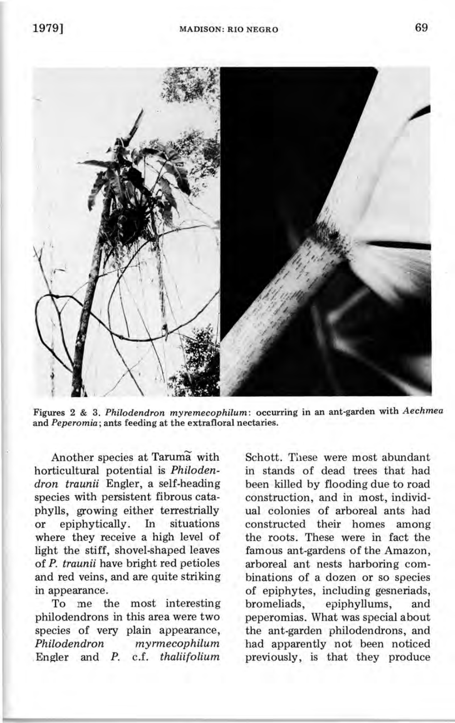

Figures 2 & 3. *Philodendron myremecophilum :* occurring in an ant-garden with *Aechmea*  and *Peperomia;* ants feeding at the extrafloral nectaries.

Another species at Taruma with horticultural potential is *Philodendron traunii* Engler, a self-heading species with persistent fibrous cataphylls, growing either terrestrially or epiphytically. In situations where they receive a high level of light the stiff, shovel-shaped leaves of *P. traunii* have bright red petioles and red veins, and are quite striking in appearance.

To me the most interesting philodendrons in this area were two species of very plain appearance, *Philodendron myrmecophilum*  . Engler and *P.* c.f. *thaliifolium* 

Schott. These were most abundant in stands of dead trees that had been killed by flooding due to road construction, and in most, individual colonies of arboreal ants had constructed their homes among the roots. These were in fact the famous ant-gardens of the Amazon, arboreal ant nests harboring combinations of a dozen or so species of epiphytes, including gesneriads, bromeliads, epiphyllums, and peperomias. What was special about the ant-garden philodendrons, and had apparently not been noticed previously, is that they produce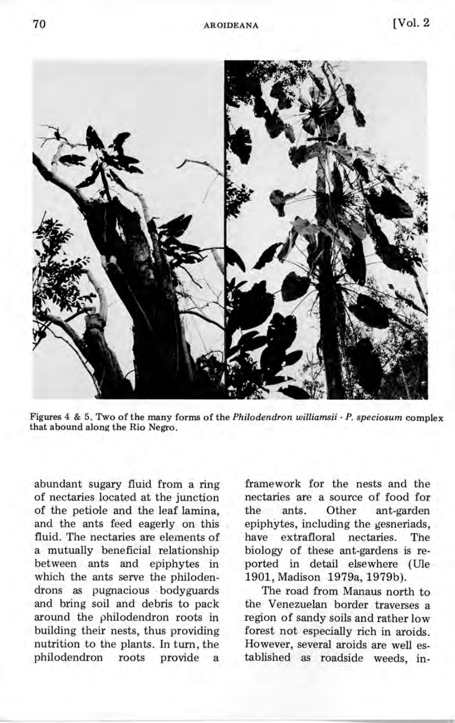

Figures 4 & 5. Two of the many forms of the *Philodendron williamsii* - *P. speciosum* complex that abound along the Rio Negro.

abundant sugary fluid from a ring of nectaries located at the junction of the petiole and the leaf lamina, and the ants feed eagerly on this fluid. The nectaries are elements of a mutually beneficial relationship between ants and epiphytes in which the ants serve the philodendrons as pugnacious . bodyguards and bring soil and debris to pack around the philodendron roots in building their nests, thus providing nutrition to the plants. In turn, the philodendron roots provide a

framework for the nests and the nectaries are a source of food for the ants. Other ant-garden epiphytes, including the gesneriads, have extrafloral nectaries. The biology of these ant-gardens is reported in detail elsewhere (Ule 1901, Madison 1979a, 1979b}.

The road from Manaus north to the Venezuelan border traverses a region of sandy soils and rather low forest not especially rich in aroids. However, several aroids are well established as roadside weeds, in-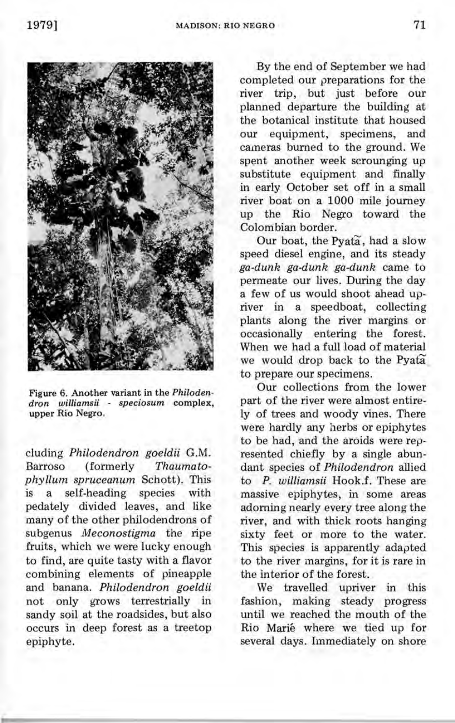

Figure 6. Another variant in the *Philodendron williamsii* - *speciosum* complex, upper Rio Negro.

eluding *Philodendron goeldii* G.M. Barroso (formerly *Thaumatophyllum spruceanum* Schott). This is a self-heading species with pedately divided leaves, and like many of the other philodendrons of subgenus *Meconostigma* the ripe fruits, which we were lucky enough to find, are quite tasty with a flavor combining elements of pineapple and banana. *Philodendron goeldii*  not only grows terrestrially in sandy soil at the roadsides, but also occurs in deep forest as a treetop epiphyte.

By the end of September we had completed our preparations for the river trip, but just before our planned departure the building at the botanical institute that housed our equipment, specimens, and cameras burned to the ground. We spent another week scrounging up substitute equipment and finally in early October set off in a small river boat on a 1000 mile journey up the Rio Negro toward the Colom bian border.

Our boat, the Pyata, had a slow speed diesel engine, and its steady *ga-dunk ga-dunk ga-dunk* came to permeate our lives. During the day a few of us would shoot ahead upriver in a speedboat, collecting plants along the river margins or occasionally entering the forest. When we had a full load of material we would drop back to the Pyata to prepare our specimens.

Our collections from the lower part of the river were almost entirely of trees and woody vines. There were hardly any herbs or epiphytes to be had, and the aroids were represented chiefly by a single abundant species of *Philodendron* allied to P. *williamsii* Hook.f. These are massive epiphytes, in some areas adorning nearly every tree along the river, and with thick roots hanging sixty feet or more to the water. This species is apparently adapted to the river margins, for it is rare in the interior of the forest.

We travelled upriver in this fashion, making steady progress until we reached the mouth of the Rio Marie where we tied up for several days. Immediately on shore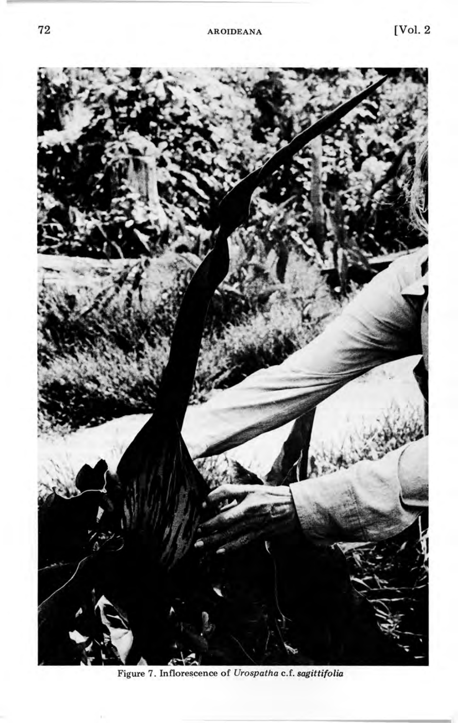

Figure 7. Inflorescence of *Urospatha* c.f. *sagittifolia*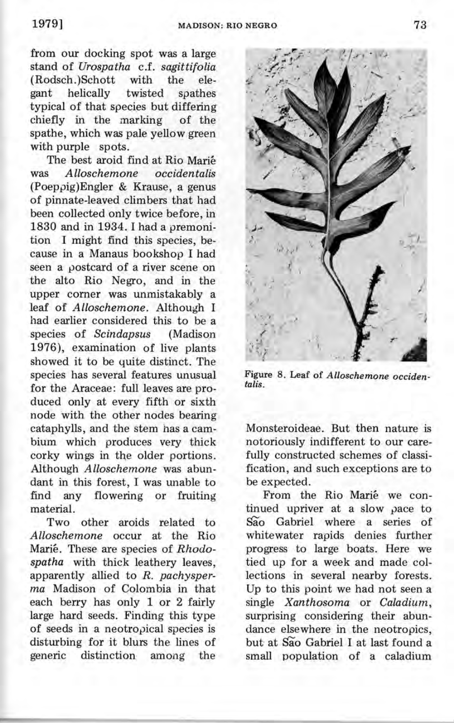from our docking spot was a large stand of *Urospatha* c.f. *sagittifolia*  (Rodsch.)Schott with the eant helically twisted gant helically twisted spathes typical of that species but differing<br>chiefly in the marking of the chiefly in the marking spathe, which was pale yellow green with purple spots.

The best aroid find at Rio Marie was *Alloschemone occidentalis*  (Poeppig)Engler & Krause, a genus of pinnate-leaved climbers that had been collected only twice before, in 1830 and in 1934. I had a premonition I might find this species, because in a Manaus bookshop I had seen a postcard of a river scene on the alto Rio Negro, and in the upper corner was unmistakably a leaf of *Alloschemone.* Although I had earlier considered this to be a species of *Scindapsus* (Madison 1976), examination of live plants showed it to be quite distinct. The species has several features unusual for the Araceae: full leaves are produced only at every fifth or sixth node with the other nodes bearing cataphylls, and the stem has a cambium which produces very thick corky wings in *the* older portions. Although *Alloschemone* was abundant in this forest, I was unable to find any flowering or fruiting material.

Two other aroids related to *Alloschemone* occur at the Rio Marie. These are species of *Rhodospatha* with thick leathery leaves, apparently allied to *R. pachysperma* Madison of Colombia in that each berry has only 1 or 2 fairly large hard seeds. Finding this type of seeds in a neotropical species is disturbing for it blurs the lines of generic distinction among the Figure 8. Leaf of *Alloschemone occidentalis.* 

Monsteroideae. But then nature is notoriously indifferent to our carefully constructed schemes of classification, and such exceptions are to be expected.

From the Rio Marie we continued upriver at a slow pace to São Gabriel where a series of whitewater rapids denies further progress to large boats. Here we tied up for a week and made collections in several nearby forests. Up to this point we had not seen a single *Xanthosoma* or *Caladium,*  surprising considering their abundance elsewhere in the neotropics, but at São Gabriel I at last found a small population of a caladium

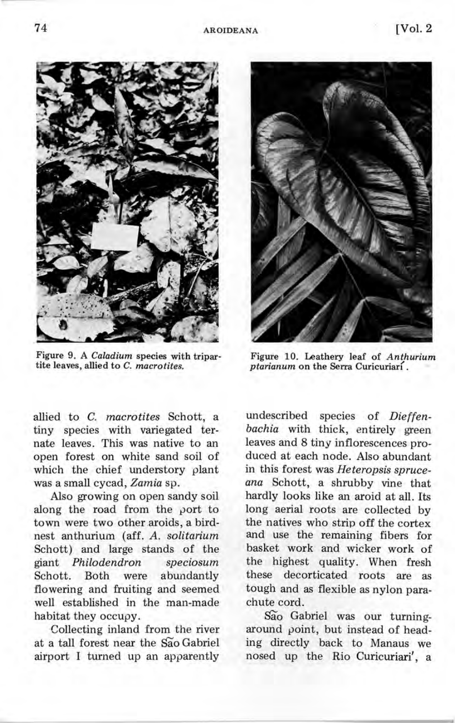

Figure 9. A *Caladium* species with tripartite leaves, allied to C. *macrotites.* 

allied to C. *macrotites* Schott, a tiny species with variegated ternate leaves. This was native to an open forest on white sand soil of which the chief understory plant was a small cycad, *Zamia* sp.

Also growing on open sandy soil along the road from the port to town were two other aroids, a birdnest anthurium (aff. *A. solitarium*  Schott) and large stands of the giant *Philodendron speciosum*  Schott. Both were abundantly flowering and fruiting and seemed well established in the man-made habitat they occupy.

Collecting inland from the river at a tall forest near the sao Gabriel airport I turned up an apparently



Figure 10. Leathery leaf of *Anthurium ptarianum* on the Serra Curicuriari.

undescribed species of *Dieffenbachia* with thick, entirely green leaves and 8 tiny inflorescences produced at each node. Also abundant in this forest was *Heteropsis spruceana* Schott, a shrubby vine that hardly looks like an aroid at all. Its long aerial roots are collected by the natives who strip off the cortex and use the remaining fibers for basket work and wicker work of the highest quality. When fresh these decorticated roots are as tough and as flexible as nylon parachute cord.

sao Gabriel was our turningaround point, but instead of heading directly back to Manaus we nosed up the Rio Curicuriari', a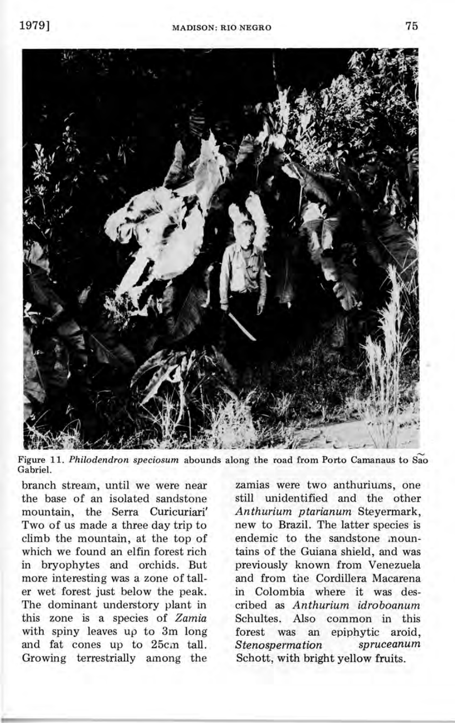

Figure 11. *Philodendron speciosum* abounds along the road from Porto Camanaus to Sao Gabriel.

branch stream, until we were near the base of an isolated sandstone mountain, the Serra Curicuriari' Two of us made a three day trip to climb the mountain, at the top of which we found an elfin forest rich in bryophytes and orchids. But more interesting was a zone of taller wet forest just below the peak. The dominant understory plant in this zone is a species of *Zamia*  with spiny leaves up to 3m long and fat cones up to 25cm tall. Growing terrestrially among the

zamias were two anthuriums, one still unidentified and the other *Anthurium ptarianum* Steyermark, new to Brazil. The latter species is endemic to the sandstone mountains of the Guiana shield, and was previously known from Venezuela and from the Cordillera Macarena in Colombia where it was described as *Anthurium idroboanum*  Schultes. Also common in this forest was an epiphytic aroid, *Stenospermation spruceanum* Schott, with bright yellow fruits.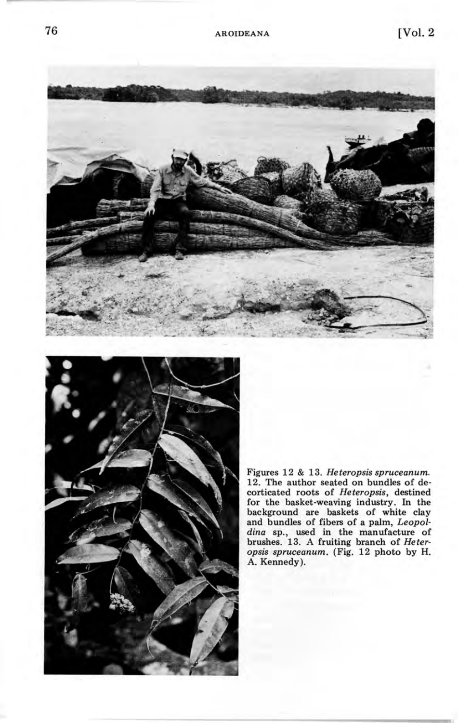



Figures 12 & 13. *Heteropsis spruceanum.*  12. The author seated on bundles of decorticated roots of *Heteropsis,* destined for the basket-weaving industry. In the background are baskets of white clay and bundles of fibers of a palm, *Leopoldina* sp., used in the manufacture of brushes. 13. A fruiting branch of *Heteropsis spruceanum.* (Fig. 12 photo by H. A. Kennedy).